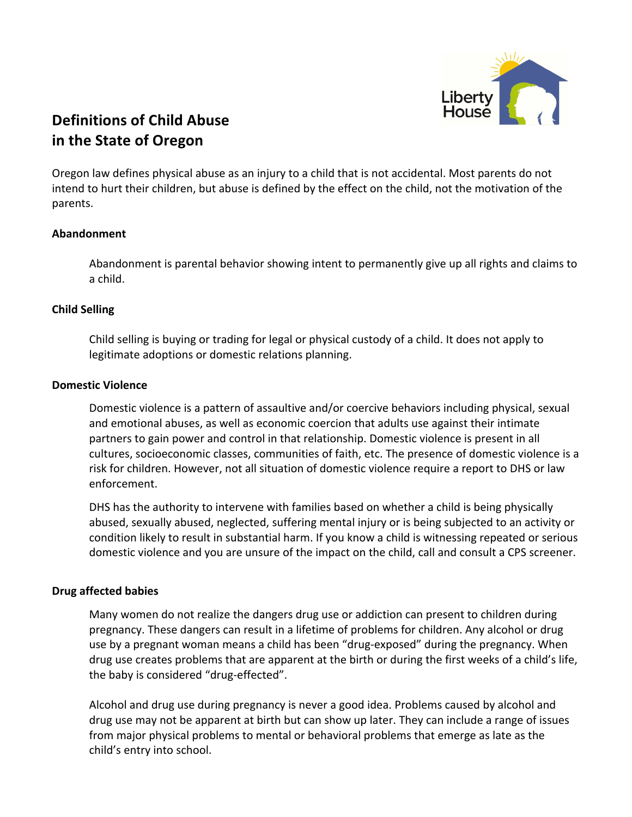

# **in the State of Oregon**

Oregon law defines physical abuse as an injury to a child that is not accidental. Most parents do not intend to hurt their children, but abuse is defined by the effect on the child, not the motivation of the parents. 

#### **Abandonment**

Abandonment is parental behavior showing intent to permanently give up all rights and claims to a child.

#### **Child Selling**

Child selling is buying or trading for legal or physical custody of a child. It does not apply to legitimate adoptions or domestic relations planning.

#### **Domestic Violence**

Domestic violence is a pattern of assaultive and/or coercive behaviors including physical, sexual and emotional abuses, as well as economic coercion that adults use against their intimate partners to gain power and control in that relationship. Domestic violence is present in all cultures, socioeconomic classes, communities of faith, etc. The presence of domestic violence is a risk for children. However, not all situation of domestic violence require a report to DHS or law enforcement.

DHS has the authority to intervene with families based on whether a child is being physically abused, sexually abused, neglected, suffering mental injury or is being subjected to an activity or condition likely to result in substantial harm. If you know a child is witnessing repeated or serious domestic violence and you are unsure of the impact on the child, call and consult a CPS screener.

#### **Drug affected babies**

Many women do not realize the dangers drug use or addiction can present to children during pregnancy. These dangers can result in a lifetime of problems for children. Any alcohol or drug use by a pregnant woman means a child has been "drug-exposed" during the pregnancy. When drug use creates problems that are apparent at the birth or during the first weeks of a child's life, the baby is considered "drug-effected".

Alcohol and drug use during pregnancy is never a good idea. Problems caused by alcohol and drug use may not be apparent at birth but can show up later. They can include a range of issues from major physical problems to mental or behavioral problems that emerge as late as the child's entry into school.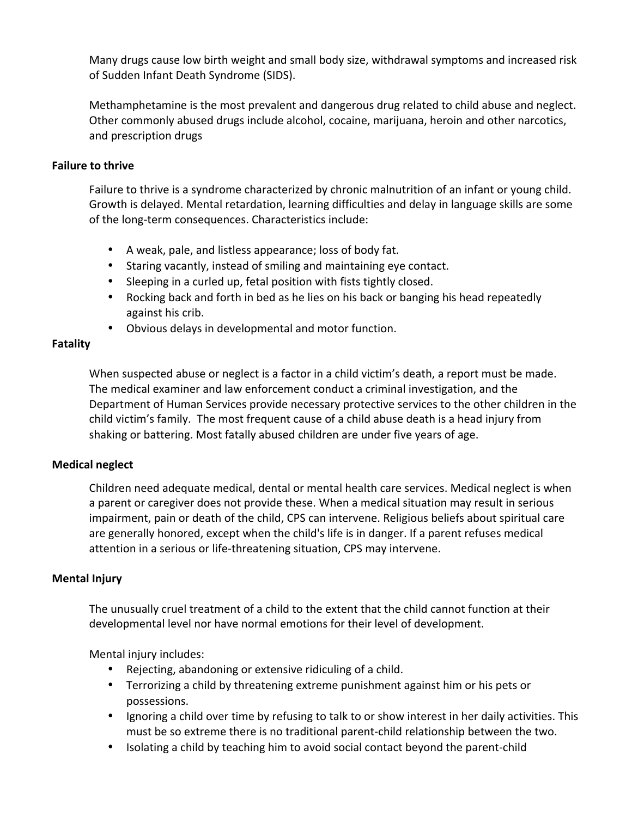Many drugs cause low birth weight and small body size, withdrawal symptoms and increased risk of Sudden Infant Death Syndrome (SIDS).

Methamphetamine is the most prevalent and dangerous drug related to child abuse and neglect. Other commonly abused drugs include alcohol, cocaine, marijuana, heroin and other narcotics, and prescription drugs

#### **Failure to thrive**

Failure to thrive is a syndrome characterized by chronic malnutrition of an infant or young child. Growth is delayed. Mental retardation, learning difficulties and delay in language skills are some of the long-term consequences. Characteristics include:

- A weak, pale, and listless appearance; loss of body fat.
- Staring vacantly, instead of smiling and maintaining eye contact.
- Sleeping in a curled up, fetal position with fists tightly closed.
- Rocking back and forth in bed as he lies on his back or banging his head repeatedly against his crib.
- Obvious delays in developmental and motor function.

#### **Fatality**

When suspected abuse or neglect is a factor in a child victim's death, a report must be made. The medical examiner and law enforcement conduct a criminal investigation, and the Department of Human Services provide necessary protective services to the other children in the child victim's family. The most frequent cause of a child abuse death is a head injury from shaking or battering. Most fatally abused children are under five years of age.

#### **Medical neglect**

Children need adequate medical, dental or mental health care services. Medical neglect is when a parent or caregiver does not provide these. When a medical situation may result in serious impairment, pain or death of the child, CPS can intervene. Religious beliefs about spiritual care are generally honored, except when the child's life is in danger. If a parent refuses medical attention in a serious or life-threatening situation, CPS may intervene.

#### **Mental Injury**

The unusually cruel treatment of a child to the extent that the child cannot function at their developmental level nor have normal emotions for their level of development.

Mental injury includes:

- Rejecting, abandoning or extensive ridiculing of a child.
- Terrorizing a child by threatening extreme punishment against him or his pets or possessions.
- Ignoring a child over time by refusing to talk to or show interest in her daily activities. This must be so extreme there is no traditional parent-child relationship between the two.
- Isolating a child by teaching him to avoid social contact beyond the parent-child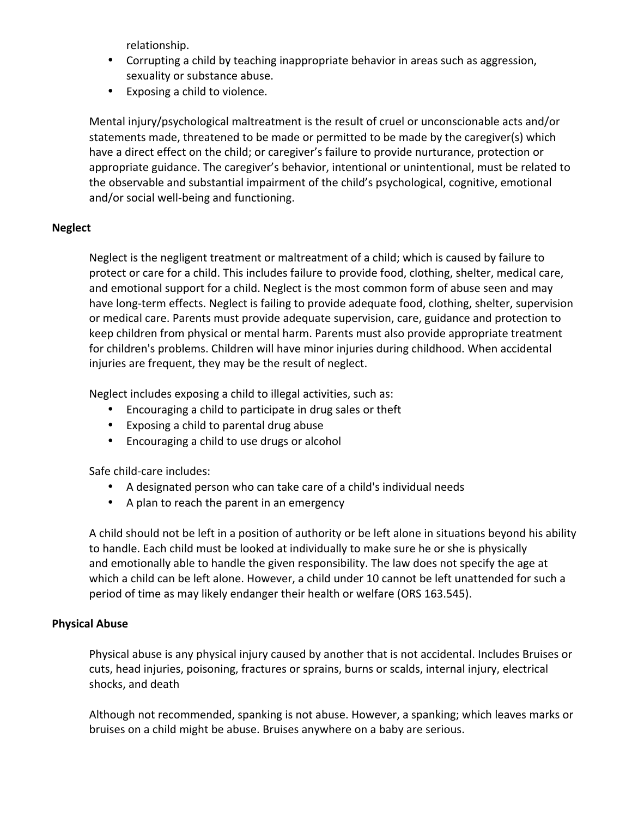relationship.

- Corrupting a child by teaching inappropriate behavior in areas such as aggression, sexuality or substance abuse.
- Exposing a child to violence.

Mental injury/psychological maltreatment is the result of cruel or unconscionable acts and/or statements made, threatened to be made or permitted to be made by the caregiver(s) which have a direct effect on the child; or caregiver's failure to provide nurturance, protection or appropriate guidance. The caregiver's behavior, intentional or unintentional, must be related to the observable and substantial impairment of the child's psychological, cognitive, emotional and/or social well-being and functioning.

### **Neglect**

Neglect is the negligent treatment or maltreatment of a child; which is caused by failure to protect or care for a child. This includes failure to provide food, clothing, shelter, medical care, and emotional support for a child. Neglect is the most common form of abuse seen and may have long-term effects. Neglect is failing to provide adequate food, clothing, shelter, supervision or medical care. Parents must provide adequate supervision, care, guidance and protection to keep children from physical or mental harm. Parents must also provide appropriate treatment for children's problems. Children will have minor injuries during childhood. When accidental injuries are frequent, they may be the result of neglect.

Neglect includes exposing a child to illegal activities, such as:

- Encouraging a child to participate in drug sales or theft
- Exposing a child to parental drug abuse
- Encouraging a child to use drugs or alcohol

Safe child-care includes:

- A designated person who can take care of a child's individual needs
- A plan to reach the parent in an emergency

A child should not be left in a position of authority or be left alone in situations beyond his ability to handle. Each child must be looked at individually to make sure he or she is physically and emotionally able to handle the given responsibility. The law does not specify the age at which a child can be left alone. However, a child under 10 cannot be left unattended for such a period of time as may likely endanger their health or welfare (ORS 163.545).

## **Physical Abuse**

Physical abuse is any physical injury caused by another that is not accidental. Includes Bruises or cuts, head injuries, poisoning, fractures or sprains, burns or scalds, internal injury, electrical shocks, and death

Although not recommended, spanking is not abuse. However, a spanking; which leaves marks or bruises on a child might be abuse. Bruises anywhere on a baby are serious.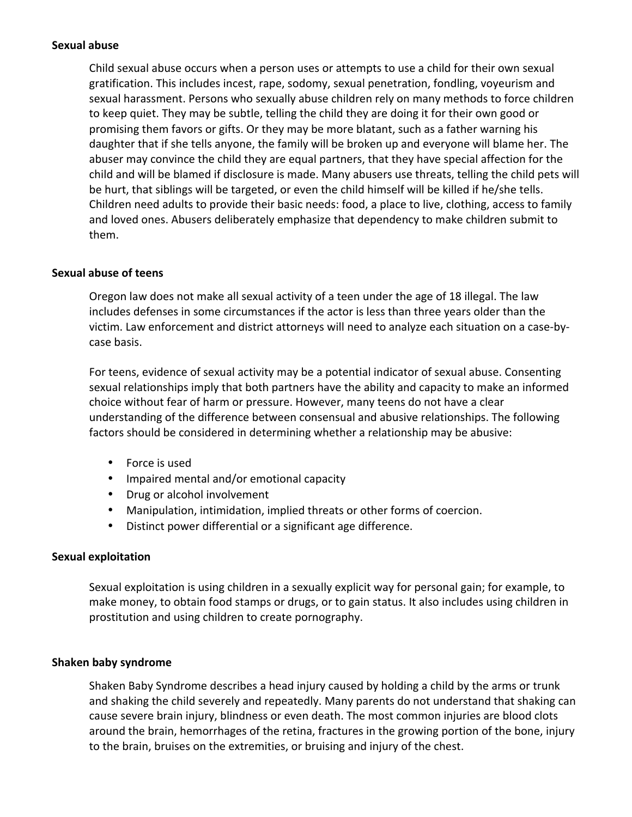#### **Sexual abuse**

Child sexual abuse occurs when a person uses or attempts to use a child for their own sexual gratification. This includes incest, rape, sodomy, sexual penetration, fondling, voyeurism and sexual harassment. Persons who sexually abuse children rely on many methods to force children to keep quiet. They may be subtle, telling the child they are doing it for their own good or promising them favors or gifts. Or they may be more blatant, such as a father warning his daughter that if she tells anyone, the family will be broken up and everyone will blame her. The abuser may convince the child they are equal partners, that they have special affection for the child and will be blamed if disclosure is made. Many abusers use threats, telling the child pets will be hurt, that siblings will be targeted, or even the child himself will be killed if he/she tells. Children need adults to provide their basic needs: food, a place to live, clothing, access to family and loved ones. Abusers deliberately emphasize that dependency to make children submit to them. 

#### **Sexual abuse of teens**

Oregon law does not make all sexual activity of a teen under the age of 18 illegal. The law includes defenses in some circumstances if the actor is less than three years older than the victim. Law enforcement and district attorneys will need to analyze each situation on a case-bycase basis. 

For teens, evidence of sexual activity may be a potential indicator of sexual abuse. Consenting sexual relationships imply that both partners have the ability and capacity to make an informed choice without fear of harm or pressure. However, many teens do not have a clear understanding of the difference between consensual and abusive relationships. The following factors should be considered in determining whether a relationship may be abusive:

- Force is used
- Impaired mental and/or emotional capacity
- Drug or alcohol involvement
- Manipulation, intimidation, implied threats or other forms of coercion.
- Distinct power differential or a significant age difference.

## **Sexual exploitation**

Sexual exploitation is using children in a sexually explicit way for personal gain; for example, to make money, to obtain food stamps or drugs, or to gain status. It also includes using children in prostitution and using children to create pornography.

#### **Shaken baby syndrome**

Shaken Baby Syndrome describes a head injury caused by holding a child by the arms or trunk and shaking the child severely and repeatedly. Many parents do not understand that shaking can cause severe brain injury, blindness or even death. The most common injuries are blood clots around the brain, hemorrhages of the retina, fractures in the growing portion of the bone, injury to the brain, bruises on the extremities, or bruising and injury of the chest.